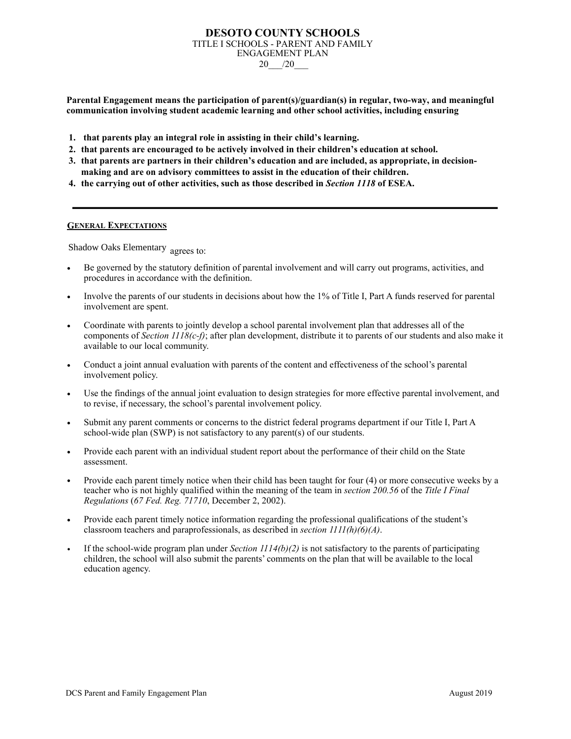# **DESOTO COUNTY SCHOOLS**  TITLE I SCHOOLS - PARENT AND FAMILY ENGAGEMENT PLAN 20\_\_\_/20\_\_\_

**Parental Engagement means the participation of parent(s)/guardian(s) in regular, two-way, and meaningful communication involving student academic learning and other school activities, including ensuring**

- **1. that parents play an integral role in assisting in their child's learning.**
- **2. that parents are encouraged to be actively involved in their children's education at school.**
- **3. that parents are partners in their children's education and are included, as appropriate, in decisionmaking and are on advisory committees to assist in the education of their children.**
- **4. the carrying out of other activities, such as those described in** *Section 1118* **of ESEA.**

# **GENERAL EXPECTATIONS**

Shadow Oaks Elementary agrees to:

- Be governed by the statutory definition of parental involvement and will carry out programs, activities, and procedures in accordance with the definition.
- Involve the parents of our students in decisions about how the 1% of Title I, Part A funds reserved for parental involvement are spent.
- **•** Coordinate with parents to jointly develop a school parental involvement plan that addresses all of the components of *Section 1118(c-f)*; after plan development, distribute it to parents of our students and also make it available to our local community.
- Conduct a joint annual evaluation with parents of the content and effectiveness of the school's parental involvement policy.
- Use the findings of the annual joint evaluation to design strategies for more effective parental involvement, and to revise, if necessary, the school's parental involvement policy.
- Submit any parent comments or concerns to the district federal programs department if our Title I, Part A school-wide plan (SWP) is not satisfactory to any parent(s) of our students.
- **•** Provide each parent with an individual student report about the performance of their child on the State assessment.
- **Provide each parent timely notice when their child has been taught for four (4) or more consecutive weeks by a** teacher who is not highly qualified within the meaning of the team in *section 200.56* of the *Title I Final Regulations* (*67 Fed. Reg. 71710*, December 2, 2002).
- **•** Provide each parent timely notice information regarding the professional qualifications of the student's classroom teachers and paraprofessionals, as described in *section 1111(h)(6)(A)*.
- If the school-wide program plan under *Section*  $1114(b)(2)$  is not satisfactory to the parents of participating children, the school will also submit the parents' comments on the plan that will be available to the local education agency.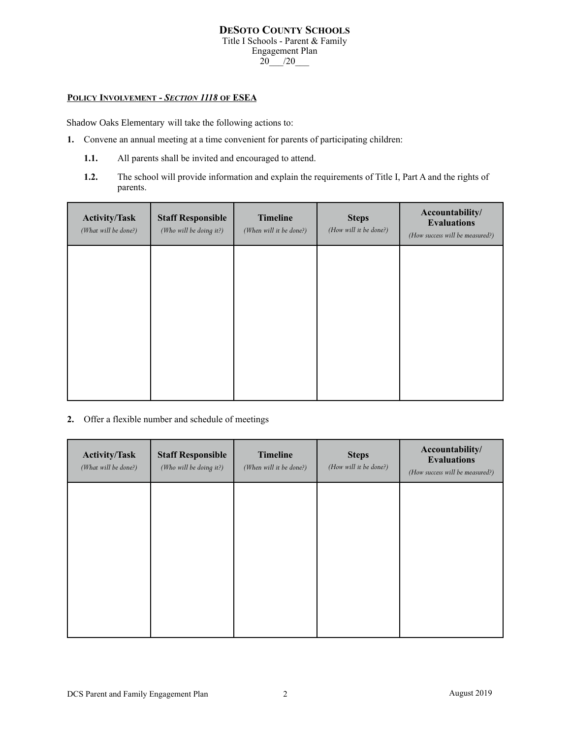# **DESOTO COUNTY SCHOOLS**  Title I Schools - Parent & Family Engagement Plan  $20$  /20

# **POLICY INVOLVEMENT -** *SECTION 1118* **OF ESEA**

Shadow Oaks Elementary will take the following actions to:

- **1.** Convene an annual meeting at a time convenient for parents of participating children:
	- **1.1.** All parents shall be invited and encouraged to attend.
	- **1.2.** The school will provide information and explain the requirements of Title I, Part A and the rights of parents.

| <b>Activity/Task</b><br>(What will be done?) | <b>Staff Responsible</b><br>(Who will be doing it?) | <b>Timeline</b><br>(When will it be done?) | <b>Steps</b><br>(How will it be done?) | Accountability/<br><b>Evaluations</b><br>(How success will be measured?) |
|----------------------------------------------|-----------------------------------------------------|--------------------------------------------|----------------------------------------|--------------------------------------------------------------------------|
|                                              |                                                     |                                            |                                        |                                                                          |
|                                              |                                                     |                                            |                                        |                                                                          |
|                                              |                                                     |                                            |                                        |                                                                          |
|                                              |                                                     |                                            |                                        |                                                                          |

**2.** Offer a flexible number and schedule of meetings

| <b>Activity/Task</b><br>(What will be done?) | <b>Staff Responsible</b><br>(Who will be doing it?) | <b>Timeline</b><br>(When will it be done?) | <b>Steps</b><br>(How will it be done?) | Accountability/<br><b>Evaluations</b><br>(How success will be measured?) |
|----------------------------------------------|-----------------------------------------------------|--------------------------------------------|----------------------------------------|--------------------------------------------------------------------------|
|                                              |                                                     |                                            |                                        |                                                                          |
|                                              |                                                     |                                            |                                        |                                                                          |
|                                              |                                                     |                                            |                                        |                                                                          |
|                                              |                                                     |                                            |                                        |                                                                          |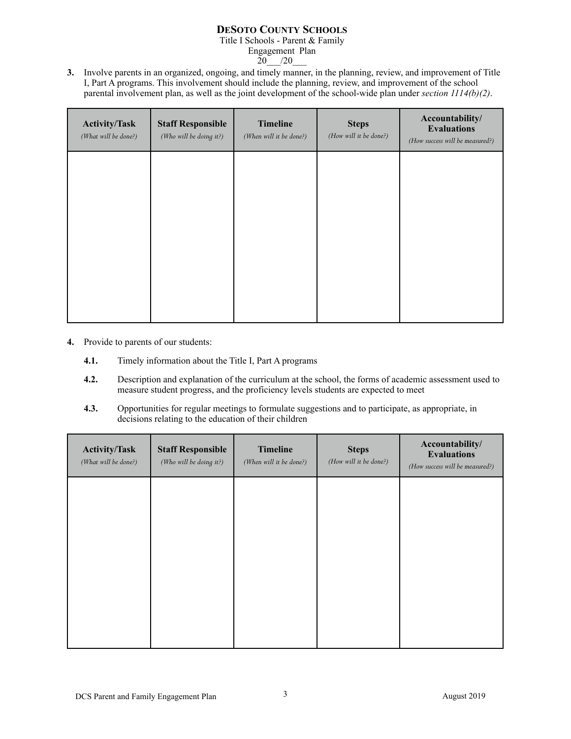# **DESOTO COUNTY SCHOOLS**

Title I Schools - Parent & Family

Engagement Plan<br>20 /20  $/20$ 

**3.** Involve parents in an organized, ongoing, and timely manner, in the planning, review, and improvement of Title I, Part A programs. This involvement should include the planning, review, and improvement of the school parental involvement plan, as well as the joint development of the school-wide plan under *section 1114(b)(2)*.

| <b>Activity/Task</b><br>(What will be done?) | <b>Staff Responsible</b><br>(Who will be doing it?) | <b>Timeline</b><br>(When will it be done?) | <b>Steps</b><br>(How will it be done?) | Accountability/<br><b>Evaluations</b><br>(How success will be measured?) |
|----------------------------------------------|-----------------------------------------------------|--------------------------------------------|----------------------------------------|--------------------------------------------------------------------------|
|                                              |                                                     |                                            |                                        |                                                                          |
|                                              |                                                     |                                            |                                        |                                                                          |
|                                              |                                                     |                                            |                                        |                                                                          |
|                                              |                                                     |                                            |                                        |                                                                          |

- **4.** Provide to parents of our students:
	- **4.1.** Timely information about the Title I, Part A programs
	- **4.2.** Description and explanation of the curriculum at the school, the forms of academic assessment used to measure student progress, and the proficiency levels students are expected to meet
	- **4.3.** Opportunities for regular meetings to formulate suggestions and to participate, as appropriate, in decisions relating to the education of their children

| <b>Activity/Task</b><br>(What will be done?) | <b>Staff Responsible</b><br>(Who will be doing it?) | <b>Timeline</b><br>(When will it be done?) | <b>Steps</b><br>(How will it be done?) | Accountability/<br><b>Evaluations</b><br>(How success will be measured?) |
|----------------------------------------------|-----------------------------------------------------|--------------------------------------------|----------------------------------------|--------------------------------------------------------------------------|
|                                              |                                                     |                                            |                                        |                                                                          |
|                                              |                                                     |                                            |                                        |                                                                          |
|                                              |                                                     |                                            |                                        |                                                                          |
|                                              |                                                     |                                            |                                        |                                                                          |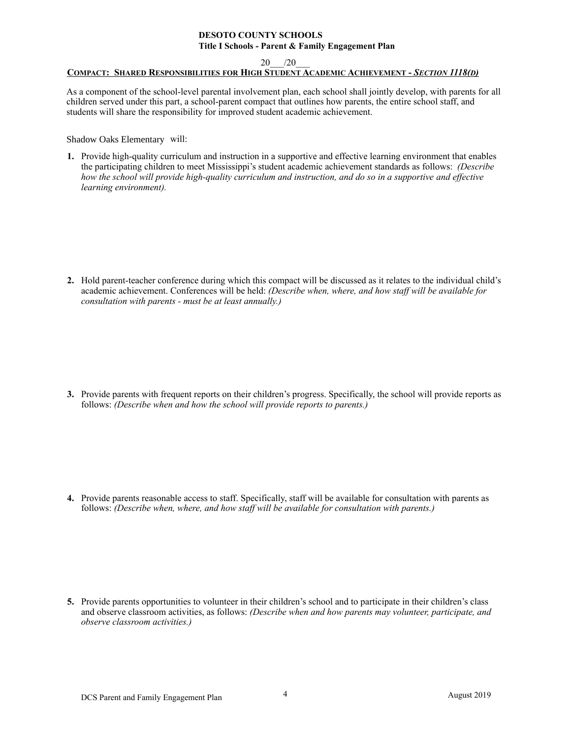#### **DESOTO COUNTY SCHOOLS Title I Schools - Parent & Family Engagement Plan**

20\_\_\_/20\_\_\_

# **COMPACT: SHARED RESPONSIBILITIES FOR HIGH STUDENT ACADEMIC ACHIEVEMENT -** *SECTION 1118(D)*

As a component of the school-level parental involvement plan, each school shall jointly develop, with parents for all children served under this part, a school-parent compact that outlines how parents, the entire school staff, and students will share the responsibility for improved student academic achievement.

Shadow Oaks Elementary will:

**1.** Provide high-quality curriculum and instruction in a supportive and effective learning environment that enables the participating children to meet Mississippi's student academic achievement standards as follows: *(Describe how the school will provide high-quality curriculum and instruction, and do so in a supportive and effective learning environment).*

**2.** Hold parent-teacher conference during which this compact will be discussed as it relates to the individual child's academic achievement. Conferences will be held: *(Describe when, where, and how staff will be available for consultation with parents - must be at least annually.)*

**3.** Provide parents with frequent reports on their children's progress. Specifically, the school will provide reports as follows: *(Describe when and how the school will provide reports to parents.)*

**4.** Provide parents reasonable access to staff. Specifically, staff will be available for consultation with parents as follows: *(Describe when, where, and how staff will be available for consultation with parents.)*

**5.** Provide parents opportunities to volunteer in their children's school and to participate in their children's class and observe classroom activities, as follows: *(Describe when and how parents may volunteer, participate, and observe classroom activities.)*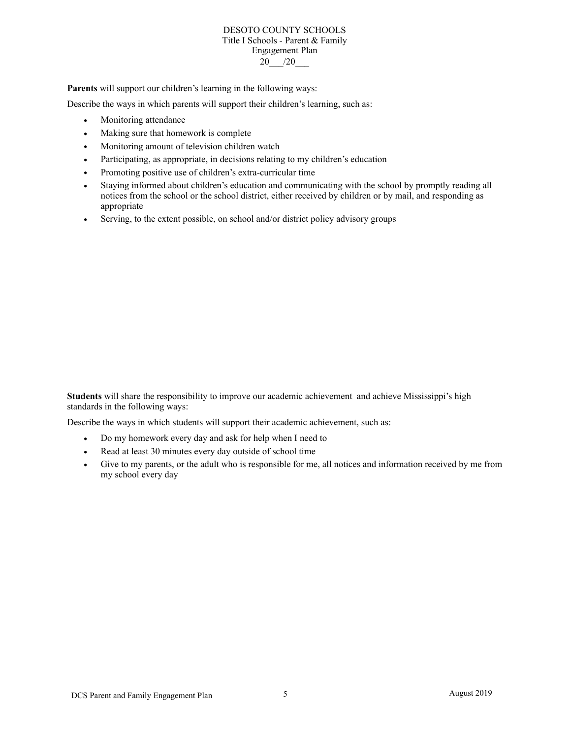#### DESOTO COUNTY SCHOOLS Title I Schools - Parent & Family Engagement Plan 20<sub> $/20$ </sub>

**Parents** will support our children's learning in the following ways:

Describe the ways in which parents will support their children's learning, such as:

- **•** Monitoring attendance
- **•** Making sure that homework is complete
- **•** Monitoring amount of television children watch
- **•** Participating, as appropriate, in decisions relating to my children's education
- **•** Promoting positive use of children's extra-curricular time
- **•** Staying informed about children's education and communicating with the school by promptly reading all notices from the school or the school district, either received by children or by mail, and responding as appropriate
- **•** Serving, to the extent possible, on school and/or district policy advisory groups

**Students** will share the responsibility to improve our academic achievement and achieve Mississippi's high standards in the following ways:

Describe the ways in which students will support their academic achievement, such as:

- **•** Do my homework every day and ask for help when I need to
- **•** Read at least 30 minutes every day outside of school time
- **•** Give to my parents, or the adult who is responsible for me, all notices and information received by me from my school every day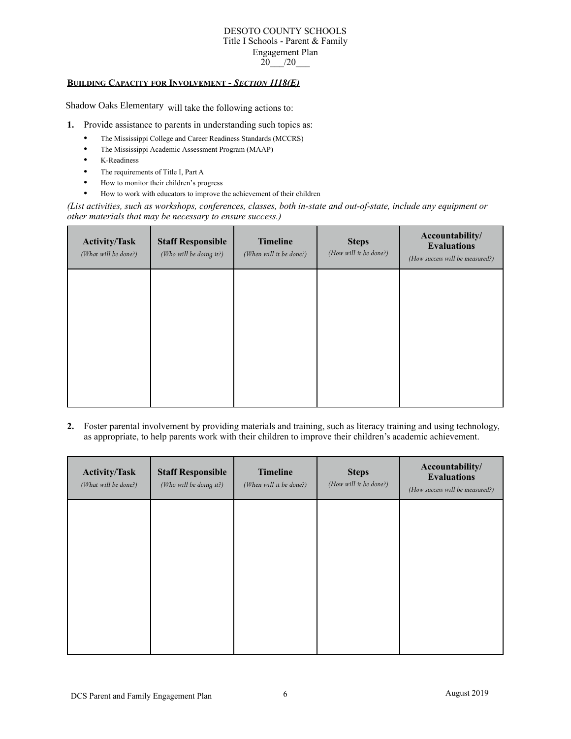#### DESOTO COUNTY SCHOOLS Title I Schools - Parent & Family Engagement Plan  $20$  /20

# **BUILDING CAPACITY FOR INVOLVEMENT -** *SECTION 1118(E)*

Shadow Oaks Elementary will take the following actions to:

- **1.** Provide assistance to parents in understanding such topics as:
	- **•** The Mississippi College and Career Readiness Standards (MCCRS)
	- **•** The Mississippi Academic Assessment Program (MAAP)
	- **•** K-Readiness
	- **•** The requirements of Title I, Part A
	- **•** How to monitor their children's progress
	- **•** How to work with educators to improve the achievement of their children

*(List activities, such as workshops, conferences, classes, both in-state and out-of-state, include any equipment or other materials that may be necessary to ensure success.)* 

| <b>Activity/Task</b><br>(What will be done?) | <b>Staff Responsible</b><br>(Who will be doing it?) | <b>Timeline</b><br>(When will it be done?) | <b>Steps</b><br>(How will it be done?) | Accountability/<br><b>Evaluations</b><br>(How success will be measured?) |
|----------------------------------------------|-----------------------------------------------------|--------------------------------------------|----------------------------------------|--------------------------------------------------------------------------|
|                                              |                                                     |                                            |                                        |                                                                          |
|                                              |                                                     |                                            |                                        |                                                                          |
|                                              |                                                     |                                            |                                        |                                                                          |
|                                              |                                                     |                                            |                                        |                                                                          |

**2.** Foster parental involvement by providing materials and training, such as literacy training and using technology, as appropriate, to help parents work with their children to improve their children's academic achievement.

| <b>Activity/Task</b><br>(What will be done?) | <b>Staff Responsible</b><br>(Who will be doing it?) | <b>Timeline</b><br>(When will it be done?) | <b>Steps</b><br>(How will it be done?) | Accountability/<br><b>Evaluations</b><br>(How success will be measured?) |
|----------------------------------------------|-----------------------------------------------------|--------------------------------------------|----------------------------------------|--------------------------------------------------------------------------|
|                                              |                                                     |                                            |                                        |                                                                          |
|                                              |                                                     |                                            |                                        |                                                                          |
|                                              |                                                     |                                            |                                        |                                                                          |
|                                              |                                                     |                                            |                                        |                                                                          |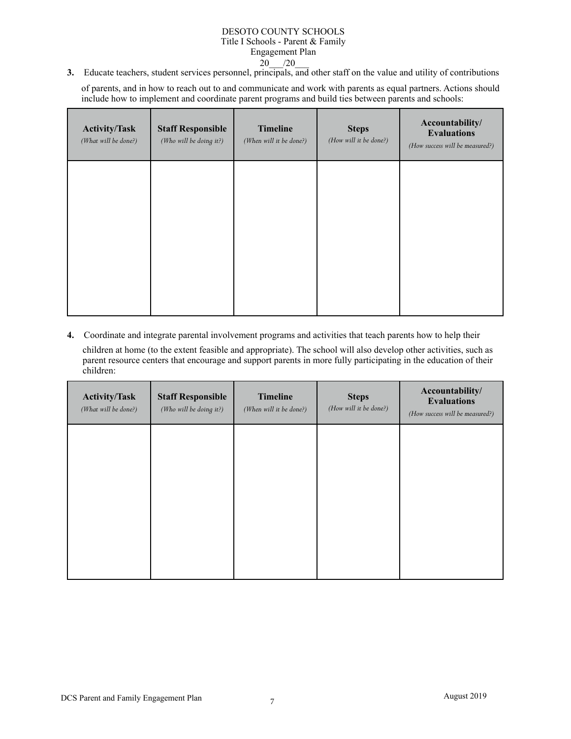# DESOTO COUNTY SCHOOLS Title I Schools - Parent & Family Engagement Plan  $20$  /20

**3.** Educate teachers, student services personnel, principals, and other staff on the value and utility of contributions

of parents, and in how to reach out to and communicate and work with parents as equal partners. Actions should include how to implement and coordinate parent programs and build ties between parents and schools:

| <b>Activity/Task</b><br>(What will be done?) | <b>Staff Responsible</b><br>(Who will be doing it?) | Timeline<br>(When will it be done?) | <b>Steps</b><br>(How will it be done?) | Accountability/<br><b>Evaluations</b><br>(How success will be measured?) |
|----------------------------------------------|-----------------------------------------------------|-------------------------------------|----------------------------------------|--------------------------------------------------------------------------|
|                                              |                                                     |                                     |                                        |                                                                          |
|                                              |                                                     |                                     |                                        |                                                                          |
|                                              |                                                     |                                     |                                        |                                                                          |

**4.** Coordinate and integrate parental involvement programs and activities that teach parents how to help their

children at home (to the extent feasible and appropriate). The school will also develop other activities, such as parent resource centers that encourage and support parents in more fully participating in the education of their children:

| <b>Activity/Task</b><br>(What will be done?) | <b>Staff Responsible</b><br>(Who will be doing it?) | <b>Timeline</b><br>(When will it be done?) | <b>Steps</b><br>(How will it be done?) | Accountability/<br><b>Evaluations</b><br>(How success will be measured?) |
|----------------------------------------------|-----------------------------------------------------|--------------------------------------------|----------------------------------------|--------------------------------------------------------------------------|
|                                              |                                                     |                                            |                                        |                                                                          |
|                                              |                                                     |                                            |                                        |                                                                          |
|                                              |                                                     |                                            |                                        |                                                                          |
|                                              |                                                     |                                            |                                        |                                                                          |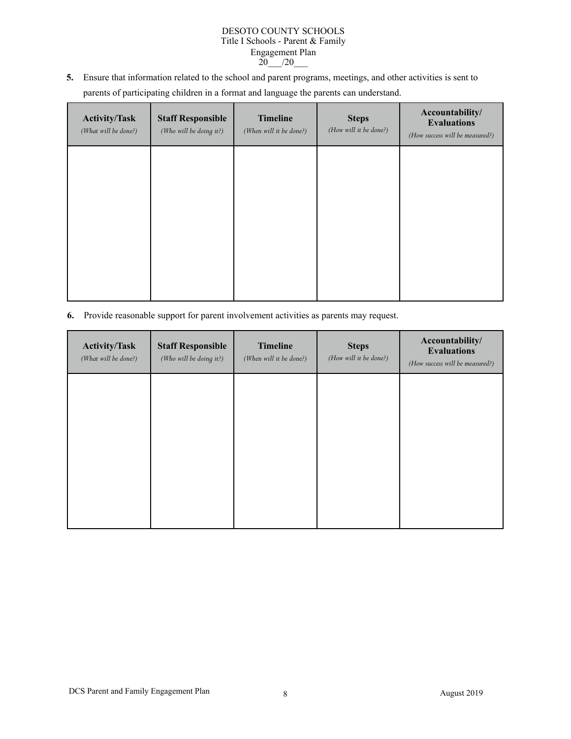# DESOTO COUNTY SCHOOLS Title I Schools - Parent & Family Engagement Plan  $20$  /20

**5.** Ensure that information related to the school and parent programs, meetings, and other activities is sent to parents of participating children in a format and language the parents can understand.

| <b>Activity/Task</b><br>(What will be done?) | <b>Staff Responsible</b><br>(Who will be doing it?) | <b>Timeline</b><br>(When will it be done?) | <b>Steps</b><br>(How will it be done?) | Accountability/<br><b>Evaluations</b><br>(How success will be measured?) |
|----------------------------------------------|-----------------------------------------------------|--------------------------------------------|----------------------------------------|--------------------------------------------------------------------------|
|                                              |                                                     |                                            |                                        |                                                                          |
|                                              |                                                     |                                            |                                        |                                                                          |
|                                              |                                                     |                                            |                                        |                                                                          |
|                                              |                                                     |                                            |                                        |                                                                          |

**6.** Provide reasonable support for parent involvement activities as parents may request.

| <b>Activity/Task</b><br>(What will be done?) | <b>Staff Responsible</b><br>(Who will be doing it?) | <b>Timeline</b><br>(When will it be done?) | <b>Steps</b><br>(How will it be done?) | Accountability/<br><b>Evaluations</b><br>(How success will be measured?) |
|----------------------------------------------|-----------------------------------------------------|--------------------------------------------|----------------------------------------|--------------------------------------------------------------------------|
|                                              |                                                     |                                            |                                        |                                                                          |
|                                              |                                                     |                                            |                                        |                                                                          |
|                                              |                                                     |                                            |                                        |                                                                          |
|                                              |                                                     |                                            |                                        |                                                                          |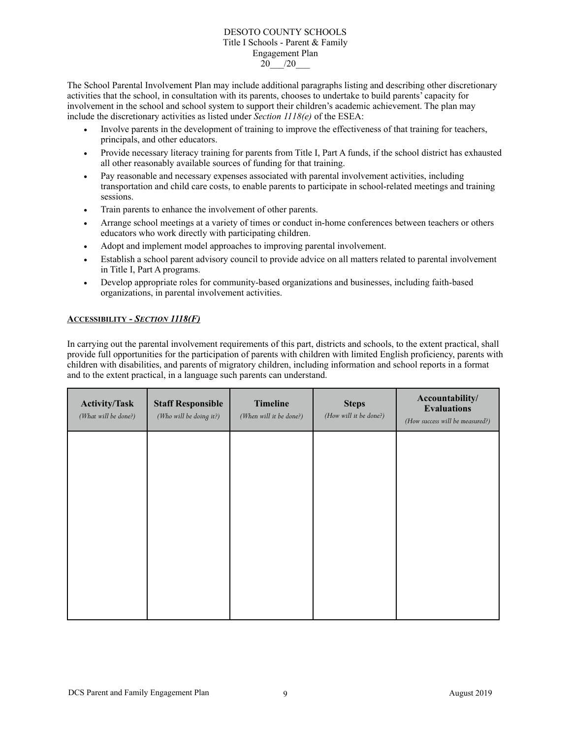#### DESOTO COUNTY SCHOOLS Title I Schools - Parent & Family Engagement Plan 20\_\_\_/20\_\_\_

The School Parental Involvement Plan may include additional paragraphs listing and describing other discretionary activities that the school, in consultation with its parents, chooses to undertake to build parents' capacity for involvement in the school and school system to support their children's academic achievement. The plan may include the discretionary activities as listed under *Section 1118(e)* of the ESEA:

- **•** Involve parents in the development of training to improve the effectiveness of that training for teachers, principals, and other educators.
- **•** Provide necessary literacy training for parents from Title I, Part A funds, if the school district has exhausted all other reasonably available sources of funding for that training.
- Pay reasonable and necessary expenses associated with parental involvement activities, including transportation and child care costs, to enable parents to participate in school-related meetings and training sessions.
- **•** Train parents to enhance the involvement of other parents.
- Arrange school meetings at a variety of times or conduct in-home conferences between teachers or others educators who work directly with participating children.
- **•** Adopt and implement model approaches to improving parental involvement.
- **•** Establish a school parent advisory council to provide advice on all matters related to parental involvement in Title I, Part A programs.
- **•** Develop appropriate roles for community-based organizations and businesses, including faith-based organizations, in parental involvement activities.

# **ACCESSIBILITY -** *SECTION 1118(F)*

In carrying out the parental involvement requirements of this part, districts and schools, to the extent practical, shall provide full opportunities for the participation of parents with children with limited English proficiency, parents with children with disabilities, and parents of migratory children, including information and school reports in a format and to the extent practical, in a language such parents can understand.

| <b>Activity/Task</b><br>(What will be done?) | <b>Staff Responsible</b><br>(Who will be doing it?) | <b>Timeline</b><br>(When will it be done?) | <b>Steps</b><br>(How will it be done?) | Accountability/<br><b>Evaluations</b><br>(How success will be measured?) |
|----------------------------------------------|-----------------------------------------------------|--------------------------------------------|----------------------------------------|--------------------------------------------------------------------------|
|                                              |                                                     |                                            |                                        |                                                                          |
|                                              |                                                     |                                            |                                        |                                                                          |
|                                              |                                                     |                                            |                                        |                                                                          |
|                                              |                                                     |                                            |                                        |                                                                          |
|                                              |                                                     |                                            |                                        |                                                                          |